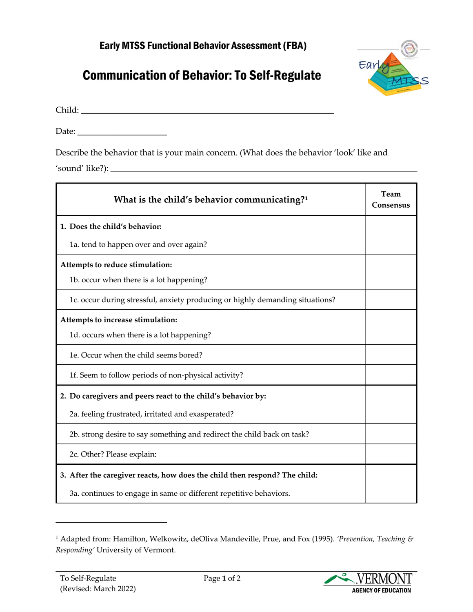## Early MTSS Functional Behavior Assessment (FBA)

## **Communication of Behavior: To Self-Regulate**



Child: Enter child's name.

Date:

Describe the behavior that is your main concern. (What does the behavior 'look' like and 'sound' like?): Describe the behavior here.

| What is the child's behavior communicating? <sup>1</sup>                      | Team<br>Consensus |
|-------------------------------------------------------------------------------|-------------------|
| 1. Does the child's behavior:                                                 |                   |
| 1a. tend to happen over and over again?                                       | Select one.       |
| Attempts to reduce stimulation:                                               |                   |
| 1b. occur when there is a lot happening?                                      | Select one.       |
| 1c. occur during stressful, anxiety producing or highly demanding situations? | Select one.       |
| Attempts to increase stimulation:                                             |                   |
| 1d. occurs when there is a lot happening?                                     | Select one.       |
| 1e. Occur when the child seems bored?                                         | Select one.       |
| 1f. Seem to follow periods of non-physical activity?                          | Select one.       |
| 2. Do caregivers and peers react to the child's behavior by:                  |                   |
| 2a. feeling frustrated, irritated and exasperated?                            | Select one.       |
| 2b. strong desire to say something and redirect the child back on task?       | Select one.       |
| 2c. Other? Please explain: List what 'other' is.                              | Select one.       |
| 3. After the caregiver reacts, how does the child then respond? The child:    |                   |
| 3a. continues to engage in same or different repetitive behaviors.            | Select one.       |

<span id="page-0-0"></span><sup>1</sup> Adapted from: Hamilton, Welkowitz, deOliva Mandeville, Prue, and Fox (1995). *'Prevention, Teaching & Responding'* University of Vermont.